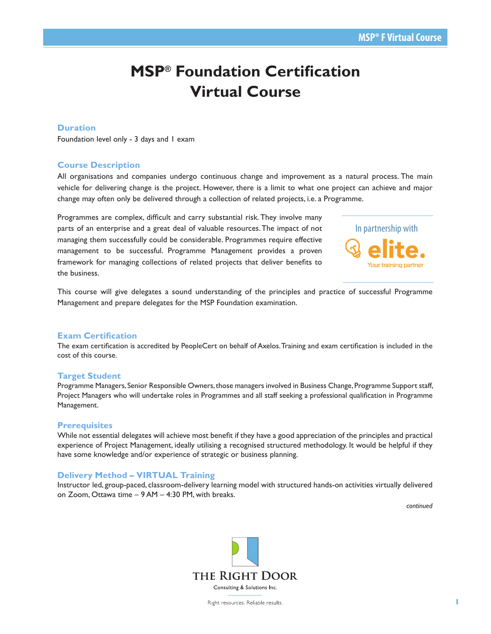# **MSP® Foundation Certification Virtual Course**

# **Duration**

Foundation level only - 3 days and 1 exam

# **Course Description**

All organisations and companies undergo continuous change and improvement as a natural process. The main vehicle for delivering change is the project. However, there is a limit to what one project can achieve and major change may often only be delivered through a collection of related projects, i.e. a Programme.

Programmes are complex, difficult and carry substantial risk. They involve many parts of an enterprise and a great deal of valuable resources. The impact of not managing them successfully could be considerable. Programmes require effective management to be successful. Programme Management provides a proven framework for managing collections of related projects that deliver benefits to the business.



This course will give delegates a sound understanding of the principles and practice of successful Programme Management and prepare delegates for the MSP Foundation examination.

## **Exam Certification**

The exam certification is accredited by PeopleCert on behalf of Axelos. Training and exam certification is included in the cost of this course.

## **Target Student**

Programme Managers, Senior Responsible Owners, those managers involved in Business Change, Programme Support staff, Project Managers who will undertake roles in Programmes and all staff seeking a professional qualification in Programme Management.

## **Prerequisites**

While not essential delegates will achieve most benefit if they have a good appreciation of the principles and practical experience of Project Management, ideally utilising a recognised structured methodology. It would be helpful if they have some knowledge and/or experience of strategic or business planning.

# **Delivery Method – VIRTUAL Training**

Instructor led, group-paced, classroom-delivery learning model with structured hands-on activities virtually delivered on Zoom, Ottawa time – 9 AM – 4:30 PM, with breaks.

*continued*

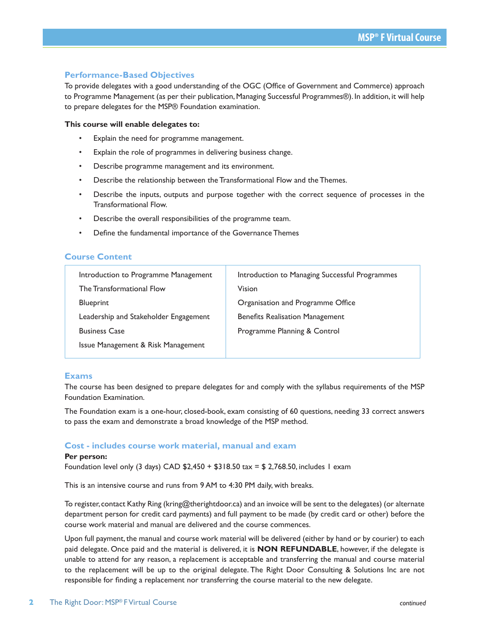# **Performance-Based Objectives**

To provide delegates with a good understanding of the OGC (Office of Government and Commerce) approach to Programme Management (as per their publication, Managing Successful Programmes®). In addition, it will help to prepare delegates for the MSP® Foundation examination.

## **This course will enable delegates to:**

- Explain the need for programme management.
- Explain the role of programmes in delivering business change.
- Describe programme management and its environment.
- Describe the relationship between the Transformational Flow and the Themes.
- Describe the inputs, outputs and purpose together with the correct sequence of processes in the Transformational Flow.
- Describe the overall responsibilities of the programme team.
- Define the fundamental importance of the Governance Themes

# **Course Content**

| Introduction to Programme Management  | Introduction to Managing Successful Programmes |
|---------------------------------------|------------------------------------------------|
| The Transformational Flow             | Vision                                         |
| <b>Blueprint</b>                      | Organisation and Programme Office              |
| Leadership and Stakeholder Engagement | <b>Benefits Realisation Management</b>         |
| <b>Business Case</b>                  | Programme Planning & Control                   |
| Issue Management & Risk Management    |                                                |
|                                       |                                                |

## **Exams**

The course has been designed to prepare delegates for and comply with the syllabus requirements of the MSP Foundation Examination.

The Foundation exam is a one-hour, closed-book, exam consisting of 60 questions, needing 33 correct answers to pass the exam and demonstrate a broad knowledge of the MSP method.

## **Cost - includes course work material, manual and exam**

#### **Per person:**

Foundation level only (3 days) CAD  $$2,450 + $318.50$  tax = \$ 2,768.50, includes 1 exam

This is an intensive course and runs from 9 AM to 4:30 PM daily, with breaks.

To register, contact Kathy Ring (kring@therightdoor.ca) and an invoice will be sent to the delegates) (or alternate department person for credit card payments) and full payment to be made (by credit card or other) before the course work material and manual are delivered and the course commences.

Upon full payment, the manual and course work material will be delivered (either by hand or by courier) to each paid delegate. Once paid and the material is delivered, it is **NON REFUNDABLE**, however, if the delegate is unable to attend for any reason, a replacement is acceptable and transferring the manual and course material to the replacement will be up to the original delegate. The Right Door Consulting & Solutions Inc are not responsible for finding a replacement nor transferring the course material to the new delegate.